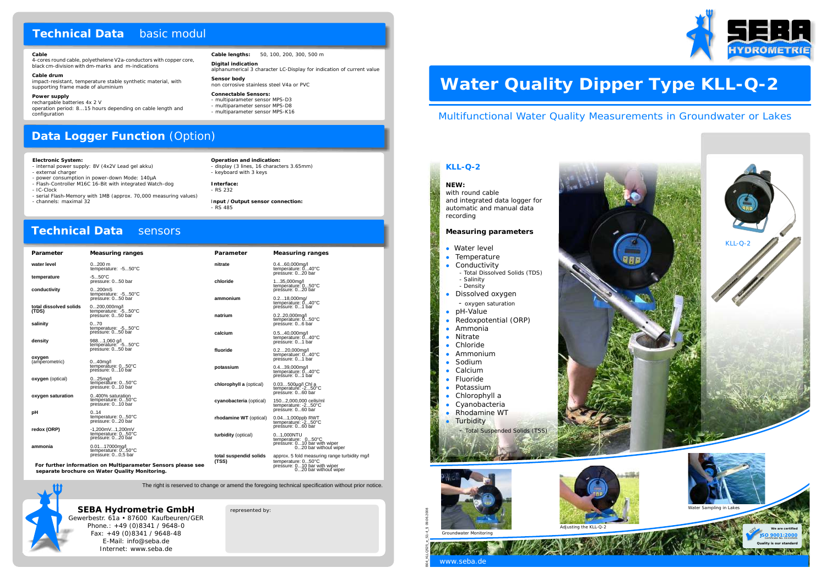**Water Quality Dipper Type KLL-Q-2**

# Multifunctional Water Quality Measurements in Groundwater or Lakes



**Parameter Measuring ranges** 

Input /Output sensor connection

Water Sampling in Lakes

## **KLL-Q-2**

- Water level
- Temperature
- 
- Conductivity - Total Dissolved Solids (TDS) - Salinity - Density
- Dissolved oxygen - oxygen saturation
	- pH-Value
- $\bullet$ Redoxpotential (ORP)
- $\bullet$ Ammonia
- Nitrate
- $\bullet$ Chloride

 $\bullet$ 

- $\bullet$ Ammonium
- $\bullet$ Sodium
- $\bullet$ Calcium
- Fluoride
- Potassium
- $\bullet$ Chlorophyll a
- Cyanobacteria
- $\bullet$ Rhodamine WT
- $\bullet$ **Turbidity** 
	- Total Suspended Solids (TSS)

### **NEW:**  with round cable and integrated data logger for automatic and manual data recording

### **Measuring parameters**

### **SEBA Hydrometrie GmbH** Gewerbestr. 61a • 87600 Kaufbeuren/GER Phone.: +49 (0)8341 / 9648-0 Fax: +49 (0)8341 / 9648-48 E-Mail: info@seba.de Internet: www.seba.de

represented by:



# **Data Logger Function** (Option)

# **Technical Data** sensors

**ISO 9001:2000 Quality is our standard** Certificate No. 01110505  $\mathcal{L}$ 

 $\circ$ 

**Cable Cable lengths:** 50, 100, 200, 300, 500 m **4-cores round cable, polyethelene V2a-conductors with copper core, Digital indication**<br>black cm-division with dm-marks and m-indications alphanumerical 3 character LC-Display for indication of current value<br>Cable drum

**Cable drum**<br>
impact-resistant, temperature stable synthetic material, with **impact-resistant impact-resistant** impact-resistant<br>
supporting frame made of aluminium

Power supply<br>
rechargable batteries 4x 2 V<br>
operation period: 8...15 hours depending on cable length and<br>
configuration<br>
configuration<br>
configuration<br>
configuration<br>
configuration<br>
configuration<br>
configuration<br>
configurati

|  | Parameter                       | Measuring ranges                                                             | Parameter                       | Measuring ranges                                                      |
|--|---------------------------------|------------------------------------------------------------------------------|---------------------------------|-----------------------------------------------------------------------|
|  | water level                     | $0200$ m<br>temperature: -550°C                                              | nitrate                         | $0.460,000$ mg/l<br>temperature: $040^{\circ}$ C<br>pressure: 020 bar |
|  | temperature                     | $-550^{\circ}C$<br>pressure: 050 bar                                         | chloride                        | 135,000mg/l<br>temperature: 050°C                                     |
|  | conductivity                    | $0200$ m $S$<br>temperature: -550°C<br>pressure: 050 bar                     | ammonium                        | pressure: 020 bar<br>$0.218,000$ mg/                                  |
|  | total dissolved solids<br>(TDS) | $0200.000$ ma/l<br>temperature: -550°C                                       | natrium                         | temperature: $040^{\circ}$ C<br>pressure: 01 bar                      |
|  | salinity                        | pressure: 050 bar<br>070                                                     |                                 | $0.220,000$ mg/l<br>temperature: 050°C<br>pressure: 06 bar            |
|  |                                 | temperature: $-550^{\circ}$ C<br>pressure: 050 bar                           | calcium                         | $0.540,000$ mg/l<br>temperature: 040°C                                |
|  | density                         | 9881,060 g/l<br>temperature: -550°C<br>pressure: 050 bar                     |                                 | pressure: 01 bar                                                      |
|  | oxygen<br>(amperometric)        | $040$ ma/l                                                                   | fluoride                        | $0.220,000$ mg/l<br>temperatuer: 040°C<br>pressure: 01 bar            |
|  |                                 | temperature: 050°C<br>pressure: 010 bar                                      | potassium                       | 0.439,000mg/l<br>temperature: $040^{\circ}$ C<br>pressure: 01 bar     |
|  | oxygen (optical)                | $025$ ma/l<br>temperature: 050°C<br>pressure: 010 bar                        | chlorophyll a (optical)         | $0.03500 \mu g/l$ Chl a<br>temperature: -250°C                        |
|  | oxygen saturation               | 0400% saturation<br>temperature: 050°C<br>pressure: 010 bar                  | cyanobacteria (optical)         | pressure: 060 bar<br>1502,000,000 cells/ml<br>temperature: -250°C     |
|  | рH<br>redox (ORP)               | 0.14<br>temperature: 050°C<br>pressure: 020 bar<br>$-1,200$ m $V1,200$ m $V$ | rhodamine WT (optical)          | pressure: 060 bar<br>0.041,000ppb RWT                                 |
|  |                                 |                                                                              |                                 | temperature: -250°C<br>pressure: 060 bar                              |
|  |                                 | temperature: 050°C<br>pressure: 020 bar                                      | turbidity (optical)             | $01,000$ NTU<br>temperature: 050°C                                    |
|  | ammonia                         | 0.0117000mg/l<br>temperature: 050°C                                          |                                 | pressure: 010 bar with wiper<br>020 bar without wiper                 |
|  |                                 | pressure: 00,5 bar                                                           | total suspendid solids<br>(TSS) | approx. 5 fold measuring range tu<br>$f$ emnerature: $0.50^{\circ}$ C |

**(TSS)** temperature: 0...50°C pressure: 0...10 bar with wiper



0...20 bar without wiper

 **For further information on Multiparameter Sensors please see separate brochure on Water Quality Monitoring.**

- **Electronic System: Operation and indication:** - internal power supply: 8V (4x2V Lead gel akku)
- external charger  $\overline{\phantom{a}}$  keyboard with 3 keys
- power consumption in power-down Mode: 140µA - Flash-Controller M16C 16-Bit with integrated Watch-dog
- 
- IC-Clock RS 232 - serial Flash-Memory with 1MB (approx. 70,000 measuring values)
- 

- RS 485

total suspendid solids approx. 5 fold measuring range turbidity mg/l

# **Technical Data** basic modul

**We are certified**